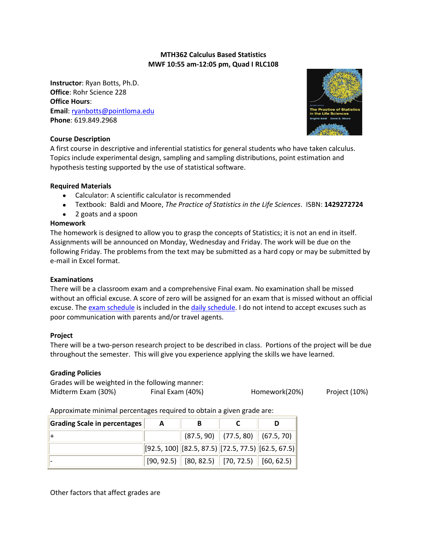## **MTH362 Calculus Based Statistics MWF 10:55 am-12:05 pm, Quad I RLC108**

**Instructor**: Ryan Botts, Ph.D. **Office**: Rohr Science 228 **Office Hours**: **Email**[: ryanbotts@pointloma.edu](mailto:ryanbotts@pointloma.edu) **Phone**: 619.849.2968



## **Course Description**

A first course in descriptive and inferential statistics for general students who have taken calculus. Topics include experimental design, sampling and sampling distributions, point estimation and hypothesis testing supported by the use of statistical software.

## **Required Materials**

- Calculator: A scientific calculator is recommended
- Textbook: Baldi and Moore, *The Practice of Statistics in the Life Sciences*. ISBN: **1429272724**  $\bullet$
- 2 goats and a spoon

## **Homework**

The homework is designed to allow you to grasp the concepts of Statistics; it is not an end in itself. Assignments will be announced on Monday, Wednesday and Friday. The work will be due on the following Friday. The problems from the text may be submitted as a hard copy or may be submitted by e-mail in Excel format.

#### **Examinations**

There will be a classroom exam and a comprehensive Final exam. No examination shall be missed without an official excuse. A score of zero will be assigned for an exam that is missed without an official excuse. The [exam schedule](http://www.mics.pointloma.edu/crow/Fall09/362_schedule.htm) is included in the [daily schedule.](http://www.mics.pointloma.edu/crow/Fall09/362_schedule.htm) I do not intend to accept excuses such as poor communication with parents and/or travel agents.

#### **Project**

There will be a two-person research project to be described in class. Portions of the project will be due throughout the semester. This will give you experience applying the skills we have learned.

#### **Grading Policies**

Grades will be weighted in the following manner: Midterm Exam (30%) Final Exam (40%) Fromework(20%) Project (10%)

Approximate minimal percentages required to obtain a given grade are:

| Grading Scale in percentages | A | В                                                                                                       |                                        |  |
|------------------------------|---|---------------------------------------------------------------------------------------------------------|----------------------------------------|--|
|                              |   |                                                                                                         | $(87.5, 90)$ $(77.5, 80)$ $(67.5, 70)$ |  |
|                              |   | $\left\  92.5, 100 \right\ $ [82.5, 87.5) [72.5, 77.5) [62.5, 67.5)]                                    |                                        |  |
|                              |   | $\parallel$ [90, 92.5) $\parallel$ [80, 82.5) $\parallel$ [70, 72.5) $\parallel$ [60, 62.5) $\parallel$ |                                        |  |

Other factors that affect grades are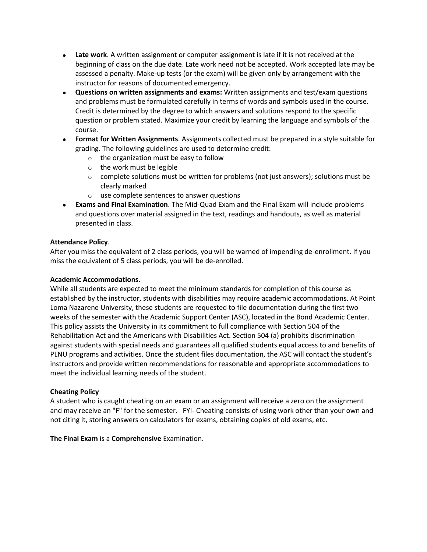- **Late work**. A written assignment or computer assignment is late if it is not received at the beginning of class on the due date. Late work need not be accepted. Work accepted late may be assessed a penalty. Make-up tests (or the exam) will be given only by arrangement with the instructor for reasons of documented emergency.
- **Questions on written assignments and exams:** Written assignments and test/exam questions and problems must be formulated carefully in terms of words and symbols used in the course. Credit is determined by the degree to which answers and solutions respond to the specific question or problem stated. Maximize your credit by learning the language and symbols of the course.
- **Format for Written Assignments**. Assignments collected must be prepared in a style suitable for grading. The following guidelines are used to determine credit:
	- o the organization must be easy to follow
	- o the work must be legible
	- $\circ$  complete solutions must be written for problems (not just answers); solutions must be clearly marked
	- o use complete sentences to answer questions
- **Exams and Final Examination**. The Mid-Quad Exam and the Final Exam will include problems and questions over material assigned in the text, readings and handouts, as well as material presented in class.

# **Attendance Policy**.

After you miss the equivalent of 2 class periods, you will be warned of impending de-enrollment. If you miss the equivalent of 5 class periods, you will be de-enrolled.

## **Academic Accommodations**.

While all students are expected to meet the minimum standards for completion of this course as established by the instructor, students with disabilities may require academic accommodations. At Point Loma Nazarene University, these students are requested to file documentation during the first two weeks of the semester with the Academic Support Center (ASC), located in the Bond Academic Center. This policy assists the University in its commitment to full compliance with Section 504 of the Rehabilitation Act and the Americans with Disabilities Act. Section 504 (a) prohibits discrimination against students with special needs and guarantees all qualified students equal access to and benefits of PLNU programs and activities. Once the student files documentation, the ASC will contact the student's instructors and provide written recommendations for reasonable and appropriate accommodations to meet the individual learning needs of the student.

## **Cheating Policy**

A student who is caught cheating on an exam or an assignment will receive a zero on the assignment and may receive an "F" for the semester. FYI- Cheating consists of using work other than your own and not citing it, storing answers on calculators for exams, obtaining copies of old exams, etc.

**The Final Exam** is a **Comprehensive** Examination.